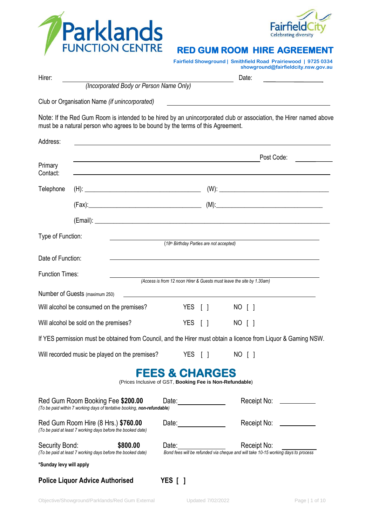



## **RED GUM ROOM HIRE AGREEMENT**

**Fairfield Showground | Smithfield Road Prairiewood | 9725 0334 showground@fairfieldcity.nsw.gov.au**

| Hirer:                  |                                                                                                              |                                                          |  | Date:                                                                                                                            |
|-------------------------|--------------------------------------------------------------------------------------------------------------|----------------------------------------------------------|--|----------------------------------------------------------------------------------------------------------------------------------|
|                         | (Incorporated Body or Person Name Only)                                                                      |                                                          |  |                                                                                                                                  |
|                         | Club or Organisation Name (if unincorporated)                                                                |                                                          |  |                                                                                                                                  |
|                         | must be a natural person who agrees to be bound by the terms of this Agreement.                              |                                                          |  | Note: If the Red Gum Room is intended to be hired by an unincorporated club or association, the Hirer named above                |
| Address:                |                                                                                                              |                                                          |  | <u>a sa barang di kabupatèn Sulawesi Kabupatèn Bandaran Kabupatèn Bandaran Kabupatèn Bandaran Kabupatèn Bandaran</u>             |
|                         |                                                                                                              |                                                          |  | Post Code:                                                                                                                       |
| Primary<br>Contact:     |                                                                                                              |                                                          |  | ,我们也不会有什么。""我们的人,我们也不会有什么?""我们的人,我们也不会有什么?""我们的人,我们也不会有什么?""我们的人,我们也不会有什么?""我们的人                                                 |
| Telephone               |                                                                                                              |                                                          |  |                                                                                                                                  |
|                         |                                                                                                              |                                                          |  |                                                                                                                                  |
|                         |                                                                                                              |                                                          |  |                                                                                                                                  |
| Type of Function:       |                                                                                                              |                                                          |  |                                                                                                                                  |
|                         |                                                                                                              | (18th Birthday Parties are not accepted)                 |  |                                                                                                                                  |
| Date of Function:       |                                                                                                              |                                                          |  |                                                                                                                                  |
| <b>Function Times:</b>  |                                                                                                              |                                                          |  | (Access is from 12 noon Hirer & Guests must leave the site by 1.30am)                                                            |
|                         | Number of Guests (maximum 250)                                                                               |                                                          |  |                                                                                                                                  |
|                         | Will alcohol be consumed on the premises?                                                                    | YES [ ]                                                  |  | NO [ ]                                                                                                                           |
|                         | Will alcohol be sold on the premises?                                                                        | YES [ ]                                                  |  | NO [ ]                                                                                                                           |
|                         |                                                                                                              |                                                          |  | If YES permission must be obtained from Council, and the Hirer must obtain a licence from Liquor & Gaming NSW.                   |
|                         | Will recorded music be played on the premises?                                                               |                                                          |  | YES [ ] NO [ ]                                                                                                                   |
|                         |                                                                                                              | <b>FEES &amp; CHARGES</b>                                |  |                                                                                                                                  |
|                         |                                                                                                              | (Prices Inclusive of GST, Booking Fee is Non-Refundable) |  |                                                                                                                                  |
|                         | Red Gum Room Booking Fee \$200.00<br>(To be paid within 7 working days of tentative booking, non-refundable) |                                                          |  | Receipt No: ___________                                                                                                          |
|                         | Red Gum Room Hire (8 Hrs.) \$760.00<br>(To be paid at least 7 working days before the booked date)           | Date: 1                                                  |  | Receipt No: ___________                                                                                                          |
| Security Bond:          | \$800.00<br>(To be paid at least 7 working days before the booked date)                                      |                                                          |  | Date: <u>Date:</u> Receipt No: Receipt Soc.<br>Bond fees will be refunded via cheque and will take 10-15 working days to process |
| *Sunday levy will apply |                                                                                                              |                                                          |  |                                                                                                                                  |
|                         | <b>Police Liquor Advice Authorised</b>                                                                       | YES [ ]                                                  |  |                                                                                                                                  |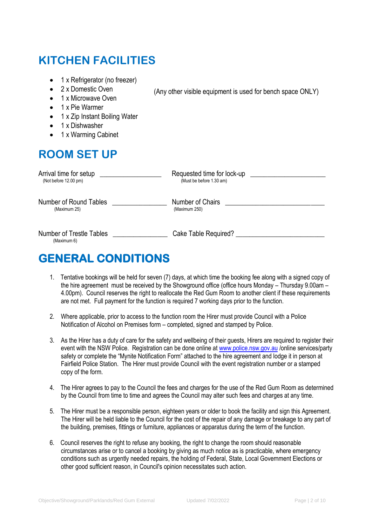# **KITCHEN FACILITIES**

- 1 x Refrigerator (no freezer)
- 2 x Domestic Oven
- 1 x Microwave Oven
- 1 x Pie Warmer
- 1 x Zip Instant Boiling Water
- 1 x Dishwasher
- 1 x Warming Cabinet

## **ROOM SET UP**

| Arrival time for setup                         | Requested time for lock-up |
|------------------------------------------------|----------------------------|
| (Not before 12.00 pm)                          | (Must be before 1.30 am)   |
| Number of Round Tables                         | Number of Chairs           |
| (Maximum 25)                                   | (Maximum 250)              |
| <b>Number of Trestle Tables</b><br>(Maximum 6) | Cake Table Required?       |

(Any other visible equipment is used for bench space ONLY)

## **GENERAL CONDITIONS**

- 1. Tentative bookings will be held for seven (7) days, at which time the booking fee along with a signed copy of the hire agreement must be received by the Showground office (office hours Monday – Thursday 9.00am – 4.00pm). Council reserves the right to reallocate the Red Gum Room to another client if these requirements are not met. Full payment for the function is required 7 working days prior to the function.
- 2. Where applicable, prior to access to the function room the Hirer must provide Council with a Police Notification of Alcohol on Premises form – completed, signed and stamped by Police.
- 3. As the Hirer has a duty of care for the safety and wellbeing of their guests, Hirers are required to register their event with the NSW Police. Registration can be done online a[t www.police.nsw.gov.au](http://www.police.nsw.gov.au/) /online services/party safety or complete the "Mynite Notification Form" attached to the hire agreement and lodge it in person at Fairfield Police Station. The Hirer must provide Council with the event registration number or a stamped copy of the form.
- 4. The Hirer agrees to pay to the Council the fees and charges for the use of the Red Gum Room as determined by the Council from time to time and agrees the Council may alter such fees and charges at any time.
- 5. The Hirer must be a responsible person, eighteen years or older to book the facility and sign this Agreement. The Hirer will be held liable to the Council for the cost of the repair of any damage or breakage to any part of the building, premises, fittings or furniture, appliances or apparatus during the term of the function.
- 6. Council reserves the right to refuse any booking, the right to change the room should reasonable circumstances arise or to cancel a booking by giving as much notice as is practicable, where emergency conditions such as urgently needed repairs, the holding of Federal, State, Local Government Elections or other good sufficient reason, in Council's opinion necessitates such action.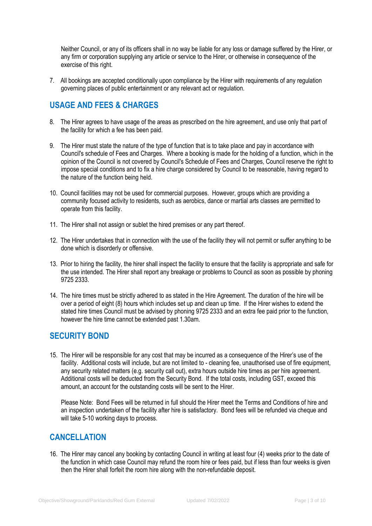Neither Council, or any of its officers shall in no way be liable for any loss or damage suffered by the Hirer, or any firm or corporation supplying any article or service to the Hirer, or otherwise in consequence of the exercise of this right.

7. All bookings are accepted conditionally upon compliance by the Hirer with requirements of any regulation governing places of public entertainment or any relevant act or regulation.

### **USAGE AND FEES & CHARGES**

- 8. The Hirer agrees to have usage of the areas as prescribed on the hire agreement, and use only that part of the facility for which a fee has been paid.
- 9. The Hirer must state the nature of the type of function that is to take place and pay in accordance with Council's schedule of Fees and Charges. Where a booking is made for the holding of a function, which in the opinion of the Council is not covered by Council's Schedule of Fees and Charges, Council reserve the right to impose special conditions and to fix a hire charge considered by Council to be reasonable, having regard to the nature of the function being held.
- 10. Council facilities may not be used for commercial purposes. However, groups which are providing a community focused activity to residents, such as aerobics, dance or martial arts classes are permitted to operate from this facility.
- 11. The Hirer shall not assign or sublet the hired premises or any part thereof.
- 12. The Hirer undertakes that in connection with the use of the facility they will not permit or suffer anything to be done which is disorderly or offensive.
- 13. Prior to hiring the facility, the hirer shall inspect the facility to ensure that the facility is appropriate and safe for the use intended. The Hirer shall report any breakage or problems to Council as soon as possible by phoning 9725 2333.
- 14. The hire times must be strictly adhered to as stated in the Hire Agreement. The duration of the hire will be over a period of eight (8) hours which includes set up and clean up time. If the Hirer wishes to extend the stated hire times Council must be advised by phoning 9725 2333 and an extra fee paid prior to the function, however the hire time cannot be extended past 1.30am.

### **SECURITY BOND**

15. The Hirer will be responsible for any cost that may be incurred as a consequence of the Hirer's use of the facility. Additional costs will include, but are not limited to - cleaning fee, unauthorised use of fire equipment, any security related matters (e.g. security call out), extra hours outside hire times as per hire agreement. Additional costs will be deducted from the Security Bond. If the total costs, including GST, exceed this amount, an account for the outstanding costs will be sent to the Hirer.

Please Note: Bond Fees will be returned in full should the Hirer meet the Terms and Conditions of hire and an inspection undertaken of the facility after hire is satisfactory. Bond fees will be refunded via cheque and will take 5-10 working days to process.

### **CANCELLATION**

16. The Hirer may cancel any booking by contacting Council in writing at least four (4) weeks prior to the date of the function in which case Council may refund the room hire or fees paid, but if less than four weeks is given then the Hirer shall forfeit the room hire along with the non-refundable deposit.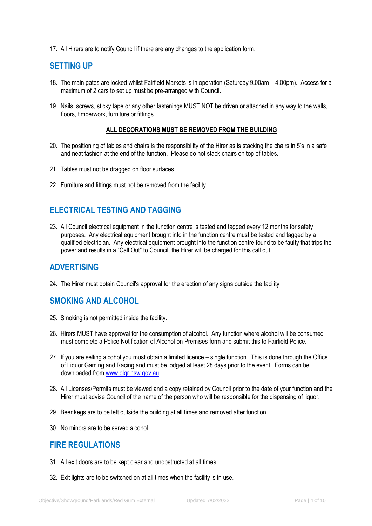17. All Hirers are to notify Council if there are any changes to the application form.

### **SETTING UP**

- 18. The main gates are locked whilst Fairfield Markets is in operation (Saturday 9.00am 4.00pm). Access for a maximum of 2 cars to set up must be pre-arranged with Council.
- 19. Nails, screws, sticky tape or any other fastenings MUST NOT be driven or attached in any way to the walls, floors, timberwork, furniture or fittings.

#### **ALL DECORATIONS MUST BE REMOVED FROM THE BUILDING**

- 20. The positioning of tables and chairs is the responsibility of the Hirer as is stacking the chairs in 5's in a safe and neat fashion at the end of the function. Please do not stack chairs on top of tables.
- 21. Tables must not be dragged on floor surfaces.
- 22. Furniture and fittings must not be removed from the facility.

### **ELECTRICAL TESTING AND TAGGING**

23. All Council electrical equipment in the function centre is tested and tagged every 12 months for safety purposes. Any electrical equipment brought into in the function centre must be tested and tagged by a qualified electrician. Any electrical equipment brought into the function centre found to be faulty that trips the power and results in a "Call Out" to Council, the Hirer will be charged for this call out.

### **ADVERTISING**

24. The Hirer must obtain Council's approval for the erection of any signs outside the facility.

### **SMOKING AND ALCOHOL**

- 25. Smoking is not permitted inside the facility.
- 26. Hirers MUST have approval for the consumption of alcohol. Any function where alcohol will be consumed must complete a Police Notification of Alcohol on Premises form and submit this to Fairfield Police.
- 27. If you are selling alcohol you must obtain a limited licence single function. This is done through the Office of Liquor Gaming and Racing and must be lodged at least 28 days prior to the event. Forms can be downloaded from [www.olgr.nsw.gov.au](http://www.olgr.nsw.gov.au/)
- 28. All Licenses/Permits must be viewed and a copy retained by Council prior to the date of your function and the Hirer must advise Council of the name of the person who will be responsible for the dispensing of liquor.
- 29. Beer kegs are to be left outside the building at all times and removed after function.
- 30. No minors are to be served alcohol.

### **FIRE REGULATIONS**

- 31. All exit doors are to be kept clear and unobstructed at all times.
- 32. Exit lights are to be switched on at all times when the facility is in use.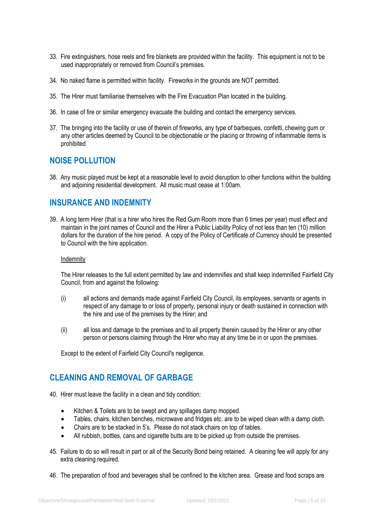- 33. Fire extinguishers, hose reels and fire blankets are provided within the facility. This equipment is not to be used inappropriately or removed from Council's premises.
- 34. No naked flame is permitted within facility. Fireworks in the grounds are NOT permitted.
- 35. The Hirer must familiarise themselves with the Fire Evacuation Plan located in the building.
- 36. In case of fire or similar emergency evacuate the building and contact the emergency services.
- 37. The bringing into the facility or use of therein of fireworks, any type of barbeques, confetti, chewing gum or any other articles deemed by Council to be objectionable or the placing or throwing of inflammable items is prohibited

### **NOISE POLLUTION**

38. Any music played must be kept at a reasonable level to avoid disruption to other functions within the building and adjoining residential development. All music must cease at 1:00am.

### **INSURANCE AND INDEMNITY**

39. A long term Hirer (that is a hirer who hires the Red Gum Room more than 6 times per year) must effect and maintain in the joint names of Council and the Hirer a Public Liability Policy of not less than ten (10) million dollars for the duration of the hire period. A copy of the Policy of Certificate of Currency should be presented to Council with the hire application.

#### Indemnity

The Hirer releases to the full extent permitted by law and indemnifies and shall keep indemnified Fairfield City Council, from and against the following:

- (i) all actions and demands made against Fairfield City Council, its employees, servants or agents in respect of any damage to or loss of property, personal injury or death sustained in connection with the hire and use of the premises by the Hirer; and
- (ii) all loss and damage to the premises and to all property therein caused by the Hirer or any other person or persons claiming through the Hirer who may at any time be in or upon the premises.

Except to the extent of Fairfield City Council's negligence.

### **CLEANING AND REMOVAL OF GARBAGE**

- 40. Hirer must leave the facility in a clean and tidy condition:
	- Kitchen & Toilets are to be swept and any spillages damp mopped.
	- Tables, chairs, kitchen benches, microwave and fridges etc. are to be wiped clean with a damp cloth.
	- Chairs are to be stacked in 5's. Please do not stack chairs on top of tables.
	- All rubbish, bottles, cans and cigarette butts are to be picked up from outside the premises.
- 45. Failure to do so will result in part or all of the Security Bond being retained. A cleaning fee will apply for any extra cleaning required.
- 46. The preparation of food and beverages shall be confined to the kitchen area. Grease and food scraps are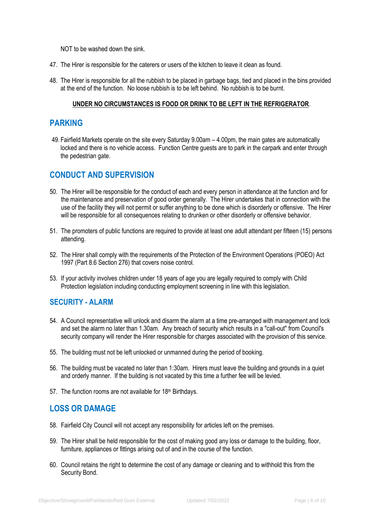NOT to be washed down the sink.

- 47. The Hirer is responsible for the caterers or users of the kitchen to leave it clean as found.
- 48. The Hirer is responsible for all the rubbish to be placed in garbage bags, tied and placed in the bins provided at the end of the function. No loose rubbish is to be left behind. No rubbish is to be burnt.

#### **UNDER NO CIRCUMSTANCES IS FOOD OR DRINK TO BE LEFT IN THE REFRIGERATOR**.

### **PARKING**

49. Fairfield Markets operate on the site every Saturday 9.00am – 4.00pm, the main gates are automatically locked and there is no vehicle access. Function Centre guests are to park in the carpark and enter through the pedestrian gate.

### **CONDUCT AND SUPERVISION**

- 50. The Hirer will be responsible for the conduct of each and every person in attendance at the function and for the maintenance and preservation of good order generally. The Hirer undertakes that in connection with the use of the facility they will not permit or suffer anything to be done which is disorderly or offensive. The Hirer will be responsible for all consequences relating to drunken or other disorderly or offensive behavior.
- 51. The promoters of public functions are required to provide at least one adult attendant per fifteen (15) persons attending.
- 52. The Hirer shall comply with the requirements of the Protection of the Environment Operations (POEO) Act 1997 (Part 8.6 Section 276) that covers noise control.
- 53. If your activity involves children under 18 years of age you are legally required to comply with Child Protection legislation including conducting employment screening in line with this legislation.

#### **SECURITY - ALARM**

- 54. A Council representative will unlock and disarm the alarm at a time pre-arranged with management and lock and set the alarm no later than 1.30am. Any breach of security which results in a "call-out" from Council's security company will render the Hirer responsible for charges associated with the provision of this service.
- 55. The building must not be left unlocked or unmanned during the period of booking.
- 56. The building must be vacated no later than 1:30am. Hirers must leave the building and grounds in a quiet and orderly manner. If the building is not vacated by this time a further fee will be levied.
- 57. The function rooms are not available for 18th Birthdays.

### **LOSS OR DAMAGE**

- 58. Fairfield City Council will not accept any responsibility for articles left on the premises.
- 59. The Hirer shall be held responsible for the cost of making good any loss or damage to the building, floor, furniture, appliances or fittings arising out of and in the course of the function.
- 60. Council retains the right to determine the cost of any damage or cleaning and to withhold this from the Security Bond.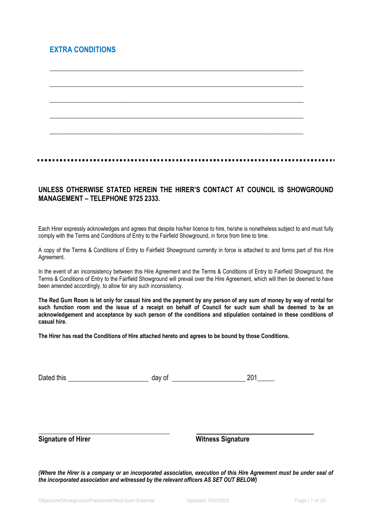### **EXTRA CONDITIONS**



\_\_\_\_\_\_\_\_\_\_\_\_\_\_\_\_\_\_\_\_\_\_\_\_\_\_\_\_\_\_\_\_\_\_\_\_\_\_\_\_\_\_\_\_\_\_\_\_\_\_\_\_\_\_\_\_\_\_\_\_\_\_\_\_\_\_\_\_\_\_\_\_\_\_\_\_\_\_\_\_\_

### **UNLESS OTHERWISE STATED HEREIN THE HIRER'S CONTACT AT COUNCIL IS SHOWGROUND MANAGEMENT – TELEPHONE 9725 2333.**

Each Hirer expressly acknowledges and agrees that despite his/her licence to hire, he/she is nonetheless subject to and must fully comply with the Terms and Conditions of Entry to the Fairfield Showground, in force from time to time.

A copy of the Terms & Conditions of Entry to Fairfield Showground currently in force is attached to and forms part of this Hire Agreement.

In the event of an inconsistency between this Hire Agreement and the Terms & Conditions of Entry to Fairfield Showground, the Terms & Conditions of Entry to the Fairfield Showground will prevail over the Hire Agreement, which will then be deemed to have been amended accordingly, to allow for any such inconsistency.

**The Red Gum Room is let only for casual hire and the payment by any person of any sum of money by way of rental for such function room and the issue of a receipt on behalf of Council for such sum shall be deemed to be an acknowledgement and acceptance by such person of the conditions and stipulation contained in these conditions of casual hire.**

**The Hirer has read the Conditions of Hire attached hereto and agrees to be bound by those Conditions.**

| Dated this | day of | 201<br>- 1- |
|------------|--------|-------------|
|            |        |             |

**Signature of Hirer Witness Signature** Witness Signature

*(Where the Hirer is a company or an incorporated association, execution of this Hire Agreement must be under seal of the incorporated association and witnessed by the relevant officers AS SET OUT BELOW)*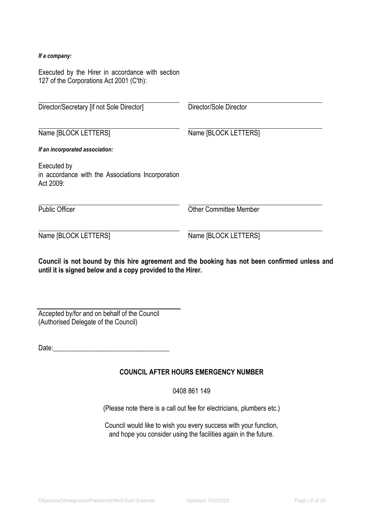#### *If a company:*

Executed by the Hirer in accordance with section 127 of the Corporations Act 2001 (C'th):

| Director/Secretary [if not Sole Director]                                     | Director/Sole Director        |  |  |
|-------------------------------------------------------------------------------|-------------------------------|--|--|
| Name [BLOCK LETTERS]                                                          | Name [BLOCK LETTERS]          |  |  |
| If an incorporated association:                                               |                               |  |  |
| Executed by<br>in accordance with the Associations Incorporation<br>Act 2009: |                               |  |  |
| <b>Public Officer</b>                                                         | <b>Other Committee Member</b> |  |  |
| Name [BLOCK LETTERS]                                                          | Name [BLOCK LETTERS]          |  |  |

**Council is not bound by this hire agreement and the booking has not been confirmed unless and until it is signed below and a copy provided to the Hirer.**

| Accepted by/for and on behalf of the Council |  |
|----------------------------------------------|--|
| (Authorised Delegate of the Council)         |  |

Date:\_\_\_\_\_\_\_\_\_\_\_\_\_\_\_\_\_\_\_\_\_\_\_\_\_\_\_\_\_\_\_\_\_\_

### **COUNCIL AFTER HOURS EMERGENCY NUMBER**

0408 861 149

(Please note there is a call out fee for electricians, plumbers etc.)

Council would like to wish you every success with your function, and hope you consider using the facilities again in the future.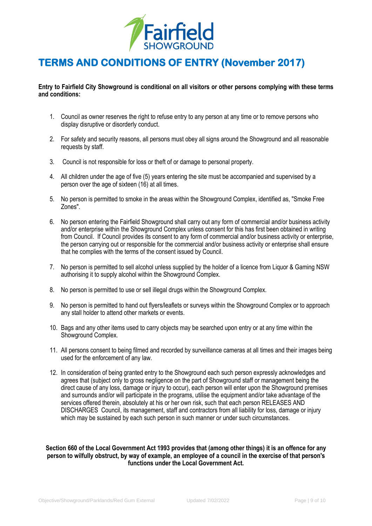

## **TERMS AND CONDITIONS OF ENTRY (November 2017)**

**Entry to Fairfield City Showground is conditional on all visitors or other persons complying with these terms and conditions:**

- 1. Council as owner reserves the right to refuse entry to any person at any time or to remove persons who display disruptive or disorderly conduct.
- 2. For safety and security reasons, all persons must obey all signs around the Showground and all reasonable requests by staff.
- 3. Council is not responsible for loss or theft of or damage to personal property.
- 4. All children under the age of five (5) years entering the site must be accompanied and supervised by a person over the age of sixteen (16) at all times.
- 5. No person is permitted to smoke in the areas within the Showground Complex, identified as, "Smoke Free Zones".
- 6. No person entering the Fairfield Showground shall carry out any form of commercial and/or business activity and/or enterprise within the Showground Complex unless consent for this has first been obtained in writing from Council. If Council provides its consent to any form of commercial and/or business activity or enterprise, the person carrying out or responsible for the commercial and/or business activity or enterprise shall ensure that he complies with the terms of the consent issued by Council.
- 7. No person is permitted to sell alcohol unless supplied by the holder of a licence from Liquor & Gaming NSW authorising it to supply alcohol within the Showground Complex.
- 8. No person is permitted to use or sell illegal drugs within the Showground Complex.
- 9. No person is permitted to hand out flyers/leaflets or surveys within the Showground Complex or to approach any stall holder to attend other markets or events.
- 10. Bags and any other items used to carry objects may be searched upon entry or at any time within the Showground Complex.
- 11. All persons consent to being filmed and recorded by surveillance cameras at all times and their images being used for the enforcement of any law.
- 12. In consideration of being granted entry to the Showground each such person expressly acknowledges and agrees that (subject only to gross negligence on the part of Showground staff or management being the direct cause of any loss, damage or injury to occur), each person will enter upon the Showground premises and surrounds and/or will participate in the programs, utilise the equipment and/or take advantage of the services offered therein, absolutely at his or her own risk, such that each person RELEASES AND DISCHARGES Council, its management, staff and contractors from all liability for loss, damage or injury which may be sustained by each such person in such manner or under such circumstances.

#### **Section 660 of the Local Government Act 1993 provides that (among other things) it is an offence for any person to wilfully obstruct, by way of example, an employee of a council in the exercise of that person's functions under the Local Government Act.**